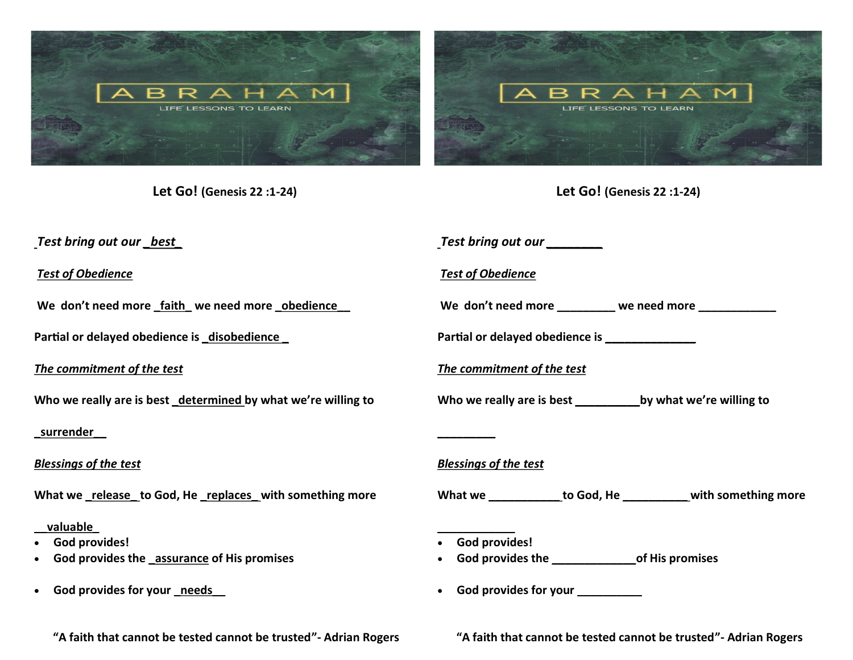

**Let Go! (Genesis 22 :1-24)**

**Let Go! (Genesis 22 :1-24)**

| _Test bring out our __best                                                                  | Test bring out our ________                                       |
|---------------------------------------------------------------------------------------------|-------------------------------------------------------------------|
| <b>Test of Obedience</b>                                                                    | <b>Test of Obedience</b>                                          |
| We don't need more _faith_ we need more _obedience_                                         | We don't need more ________ we need more ___________              |
| Partial or delayed obedience is _disobedience _                                             | Partial or delayed obedience is _______________                   |
| The commitment of the test                                                                  | The commitment of the test                                        |
| Who we really are is best _determined by what we're willing to                              |                                                                   |
| <u>_surrender_</u>                                                                          |                                                                   |
| <b>Blessings of the test</b>                                                                | <b>Blessings of the test</b>                                      |
| What we release to God, He replaces with something more                                     | What we _____________ to God, He ____________ with something more |
| valuable<br><b>God provides!</b><br>God provides the assurance of His promises<br>$\bullet$ | • God provides!<br>God provides the of His promises               |
| • God provides for your needs                                                               | God provides for your __________                                  |

**"A faith that cannot be tested cannot be trusted"- Adrian Rogers**

**"A faith that cannot be tested cannot be trusted"- Adrian Rogers**